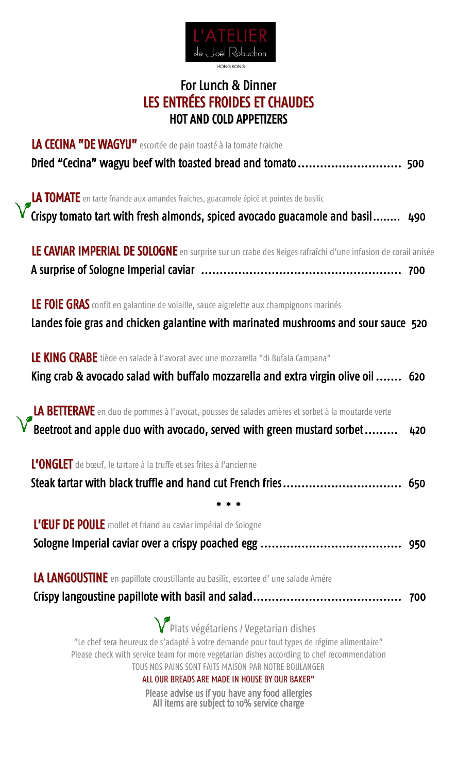

## For Lunch & Dinner LES ENTRÉES FROIDES ET CHAUDES HOT AND COLD APPETIZERS

| LA CECINA "DE WAGYU" escortée de pain toasté à la tomate fraiche                                                                                                                                                                                                                                                                                                                                            |  |
|-------------------------------------------------------------------------------------------------------------------------------------------------------------------------------------------------------------------------------------------------------------------------------------------------------------------------------------------------------------------------------------------------------------|--|
| Dried "Cecina" wagyu beef with toasted bread and tomato 500                                                                                                                                                                                                                                                                                                                                                 |  |
| LA TOMATE en tarte friande aux amandes fraiches, guacamole épicé et pointes de basilic                                                                                                                                                                                                                                                                                                                      |  |
| $\sqrt{\ }$ Crispy tomato tart with fresh almonds, spiced avocado guacamole and basil<br>490                                                                                                                                                                                                                                                                                                                |  |
| LE CAVIAR IMPERIAL DE SOLOGNE en surprise sur un crabe des Neiges rafraîchi d'une infusion de corail anisée                                                                                                                                                                                                                                                                                                 |  |
| LE FOIE GRAS confit en galantine de volaille, sauce aigrelette aux champignons marinés<br>Landes foie gras and chicken galantine with marinated mushrooms and sour sauce 520                                                                                                                                                                                                                                |  |
| LE KING CRABE tiède en salade à l'avocat avec une mozzarella "di Bufala Campana"<br>King crab & avocado salad with buffalo mozzarella and extra virgin olive oil  620                                                                                                                                                                                                                                       |  |
| LA BETTERAVE en duo de pommes à l'avocat, pousses de salades amères et sorbet à la moutarde verte<br>$\sqrt{\phantom{a}}$ Beetroot and apple duo with avocado, served with green mustard sorbet<br>420                                                                                                                                                                                                      |  |
| L'ONGLET de bœuf, le tartare à la truffe et ses frites à l'ancienne                                                                                                                                                                                                                                                                                                                                         |  |
| Steak tartar with black truffle and hand cut French fries 650                                                                                                                                                                                                                                                                                                                                               |  |
| L'ŒUF DE POULE mollet et friand au caviar impérial de Sologne                                                                                                                                                                                                                                                                                                                                               |  |
|                                                                                                                                                                                                                                                                                                                                                                                                             |  |
| LA LANGOUSTINE en papillote croustillante au basilic, escortee d'une salade Amére                                                                                                                                                                                                                                                                                                                           |  |
|                                                                                                                                                                                                                                                                                                                                                                                                             |  |
| V <sup>P</sup> Plats végétariens / Vegetarian dishes<br>"Le chef sera heureux de s'adapté à votre demande pour tout types de régime alimentaire"<br>Please check with service team for more vegetarian dishes according to chef recommendation<br>TOUS NOS PAINS SONT FAITS MAISON PAR NOTRE BOULANGER<br>ALL OUR BREADS ARE MADE IN HOUSE BY OUR BAKER"<br>Dlogeo advico us if vou havo any food allorgios |  |

Please advise us if you have any food allergies All items are subject to 10% service charge